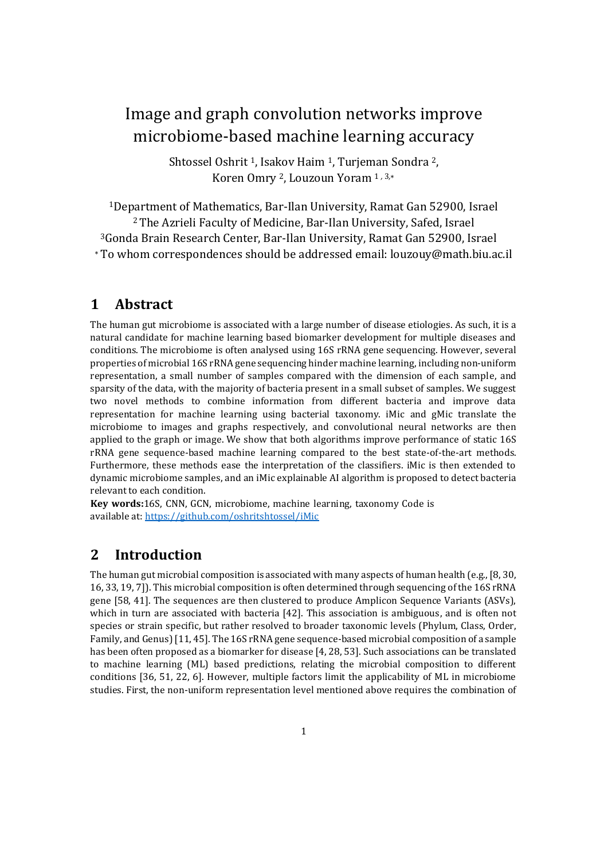# Image and graph convolution networks improve microbiome-based machine learning accuracy

Shtossel Oshrit <sup>1</sup>, Isakov Haim <sup>1</sup>, Turjeman Sondra <sup>2</sup>, Koren Omry 2, Louzoun Yoram 1 *,* 3*,*<sup>∗</sup>

Department of Mathematics, Bar-Ilan University, Ramat Gan 52900, Israel The Azrieli Faculty of Medicine, Bar-Ilan University, Safed, Israel Gonda Brain Research Center, Bar-Ilan University, Ramat Gan 52900, Israel <sup>∗</sup>To whom correspondences should be addressed email: louzouy@math.biu.ac.il

## **1 Abstract**

The human gut microbiome is associated with a large number of disease etiologies. As such, it is a natural candidate for machine learning based biomarker development for multiple diseases and conditions. The microbiome is often analysed using 16S rRNA gene sequencing. However, several properties of microbial 16S rRNA gene sequencing hinder machine learning, including non-uniform representation, a small number of samples compared with the dimension of each sample, and sparsity of the data, with the majority of bacteria present in a small subset of samples. We suggest two novel methods to combine information from different bacteria and improve data representation for machine learning using bacterial taxonomy. iMic and gMic translate the microbiome to images and graphs respectively, and convolutional neural networks are then applied to the graph or image. We show that both algorithms improve performance of static 16S rRNA gene sequence-based machine learning compared to the best state-of-the-art methods. Furthermore, these methods ease the interpretation of the classifiers. iMic is then extended to dynamic microbiome samples, and an iMic explainable AI algorithm is proposed to detect bacteria relevant to each condition.

**Key words:**16S, CNN, GCN, microbiome, machine learning, taxonomy Code is available at:<https://github.com/oshritshtossel/iMic>

## **2 Introduction**

The human gut microbial composition is associated with many aspects of human health (e.g., [8, 30, 16, 33, 19, 7]). This microbial composition is often determined through sequencing of the 16S rRNA gene [58, 41]. The sequences are then clustered to produce Amplicon Sequence Variants (ASVs), which in turn are associated with bacteria [42]. This association is ambiguous, and is often not species or strain specific, but rather resolved to broader taxonomic levels (Phylum, Class, Order, Family, and Genus) [11, 45]. The 16S rRNA gene sequence-based microbial composition of a sample has been often proposed as a biomarker for disease [4, 28, 53]. Such associations can be translated to machine learning (ML) based predictions, relating the microbial composition to different conditions [36, 51, 22, 6]. However, multiple factors limit the applicability of ML in microbiome studies. First, the non-uniform representation level mentioned above requires the combination of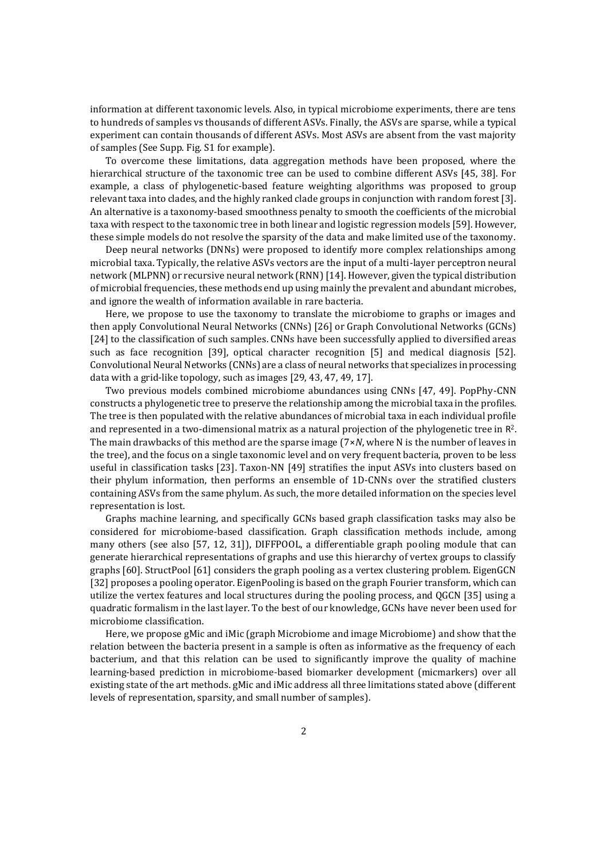information at different taxonomic levels. Also, in typical microbiome experiments, there are tens to hundreds of samples vs thousands of different ASVs. Finally, the ASVs are sparse, while a typical experiment can contain thousands of different ASVs. Most ASVs are absent from the vast majority of samples (See Supp. Fig. S1 for example).

To overcome these limitations, data aggregation methods have been proposed, where the hierarchical structure of the taxonomic tree can be used to combine different ASVs [45, 38]. For example, a class of phylogenetic-based feature weighting algorithms was proposed to group relevant taxa into clades, and the highly ranked clade groups in conjunction with random forest [3]. An alternative is a taxonomy-based smoothness penalty to smooth the coefficients of the microbial taxa with respect to the taxonomic tree in both linear and logistic regression models [59]. However, these simple models do not resolve the sparsity of the data and make limited use of the taxonomy.

Deep neural networks (DNNs) were proposed to identify more complex relationships among microbial taxa. Typically, the relative ASVs vectors are the input of a multi-layer perceptron neural network (MLPNN) or recursive neural network (RNN) [14]. However, given the typical distribution of microbial frequencies, these methods end up using mainly the prevalent and abundant microbes, and ignore the wealth of information available in rare bacteria.

Here, we propose to use the taxonomy to translate the microbiome to graphs or images and then apply Convolutional Neural Networks (CNNs) [26] or Graph Convolutional Networks (GCNs) [24] to the classification of such samples. CNNs have been successfully applied to diversified areas such as face recognition [39], optical character recognition [5] and medical diagnosis [52]. Convolutional Neural Networks (CNNs) are a class of neural networks that specializes in processing data with a grid-like topology, such as images [29, 43, 47, 49, 17].

Two previous models combined microbiome abundances using CNNs [47, 49]. PopPhy-CNN constructs a phylogenetic tree to preserve the relationship among the microbial taxa in the profiles. The tree is then populated with the relative abundances of microbial taxa in each individual profile and represented in a two-dimensional matrix as a natural projection of the phylogenetic tree in R<sup>2</sup>. The main drawbacks of this method are the sparse image (7×*N*, where N is the number of leaves in the tree), and the focus on a single taxonomic level and on very frequent bacteria, proven to be less useful in classification tasks [23]. Taxon-NN [49] stratifies the input ASVs into clusters based on their phylum information, then performs an ensemble of 1D-CNNs over the stratified clusters containing ASVs from the same phylum. As such, the more detailed information on the species level representation is lost.

Graphs machine learning, and specifically GCNs based graph classification tasks may also be considered for microbiome-based classification. Graph classification methods include, among many others (see also [57, 12, 31]), DIFFPOOL, a differentiable graph pooling module that can generate hierarchical representations of graphs and use this hierarchy of vertex groups to classify graphs [60]. StructPool [61] considers the graph pooling as a vertex clustering problem. EigenGCN [32] proposes a pooling operator. EigenPooling is based on the graph Fourier transform, which can utilize the vertex features and local structures during the pooling process, and QGCN [35] using a quadratic formalism in the last layer. To the best of our knowledge, GCNs have never been used for microbiome classification.

Here, we propose gMic and iMic (graph Microbiome and image Microbiome) and show that the relation between the bacteria present in a sample is often as informative as the frequency of each bacterium, and that this relation can be used to significantly improve the quality of machine learning-based prediction in microbiome-based biomarker development (micmarkers) over all existing state of the art methods. gMic and iMic address all three limitations stated above (different levels of representation, sparsity, and small number of samples).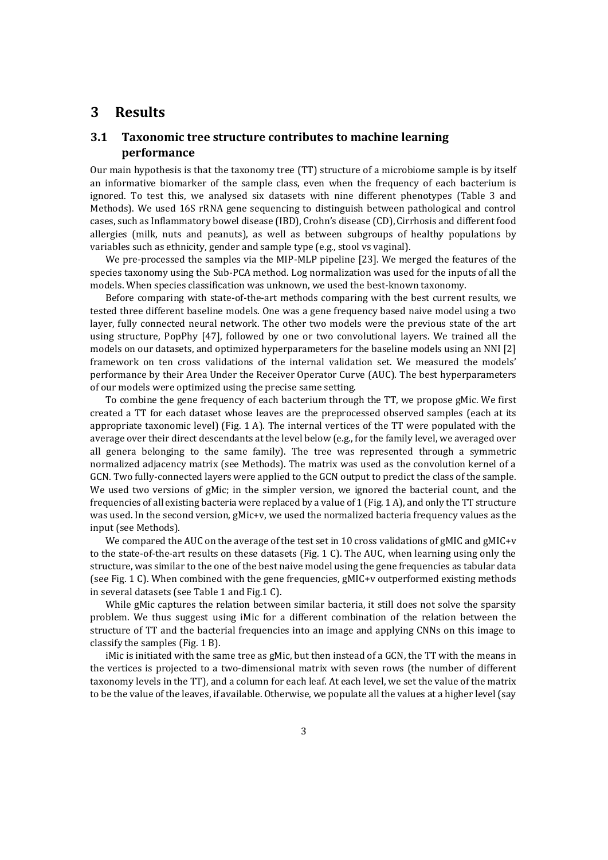## **3 Results**

## **3.1 Taxonomic tree structure contributes to machine learning performance**

Our main hypothesis is that the taxonomy tree (TT) structure of a microbiome sample is by itself an informative biomarker of the sample class, even when the frequency of each bacterium is ignored. To test this, we analysed six datasets with nine different phenotypes (Table 3 and Methods). We used 16S rRNA gene sequencing to distinguish between pathological and control cases, such as Inflammatory bowel disease (IBD), Crohn's disease (CD), Cirrhosis and different food allergies (milk, nuts and peanuts), as well as between subgroups of healthy populations by variables such as ethnicity, gender and sample type (e.g., stool vs vaginal).

We pre-processed the samples via the MIP-MLP pipeline [23]. We merged the features of the species taxonomy using the Sub-PCA method. Log normalization was used for the inputs of all the models. When species classification was unknown, we used the best-known taxonomy.

Before comparing with state-of-the-art methods comparing with the best current results, we tested three different baseline models. One was a gene frequency based naive model using a two layer, fully connected neural network. The other two models were the previous state of the art using structure, PopPhy [47], followed by one or two convolutional layers. We trained all the models on our datasets, and optimized hyperparameters for the baseline models using an NNI [2] framework on ten cross validations of the internal validation set. We measured the models' performance by their Area Under the Receiver Operator Curve (AUC). The best hyperparameters of our models were optimized using the precise same setting.

To combine the gene frequency of each bacterium through the TT, we propose gMic. We first created a TT for each dataset whose leaves are the preprocessed observed samples (each at its appropriate taxonomic level) (Fig. 1 A). The internal vertices of the TT were populated with the average over their direct descendants at the level below (e.g., for the family level, we averaged over all genera belonging to the same family). The tree was represented through a symmetric normalized adjacency matrix (see Methods). The matrix was used as the convolution kernel of a GCN. Two fully-connected layers were applied to the GCN output to predict the class of the sample. We used two versions of gMic; in the simpler version, we ignored the bacterial count, and the frequencies of all existing bacteria were replaced by a value of 1 (Fig. 1 A), and only the TT structure was used. In the second version, gMic+v, we used the normalized bacteria frequency values as the input (see Methods).

We compared the AUC on the average of the test set in 10 cross validations of gMIC and gMIC+v to the state-of-the-art results on these datasets (Fig. 1 C). The AUC, when learning using only the structure, was similar to the one of the best naive model using the gene frequencies as tabular data (see Fig. 1 C). When combined with the gene frequencies, gMIC+v outperformed existing methods in several datasets (see Table 1 and Fig.1 C).

While gMic captures the relation between similar bacteria, it still does not solve the sparsity problem. We thus suggest using iMic for a different combination of the relation between the structure of TT and the bacterial frequencies into an image and applying CNNs on this image to classify the samples (Fig. 1 B).

iMic is initiated with the same tree as gMic, but then instead of a GCN, the TT with the means in the vertices is projected to a two-dimensional matrix with seven rows (the number of different taxonomy levels in the TT), and a column for each leaf. At each level, we set the value of the matrix to be the value of the leaves, if available. Otherwise, we populate all the values at a higher level (say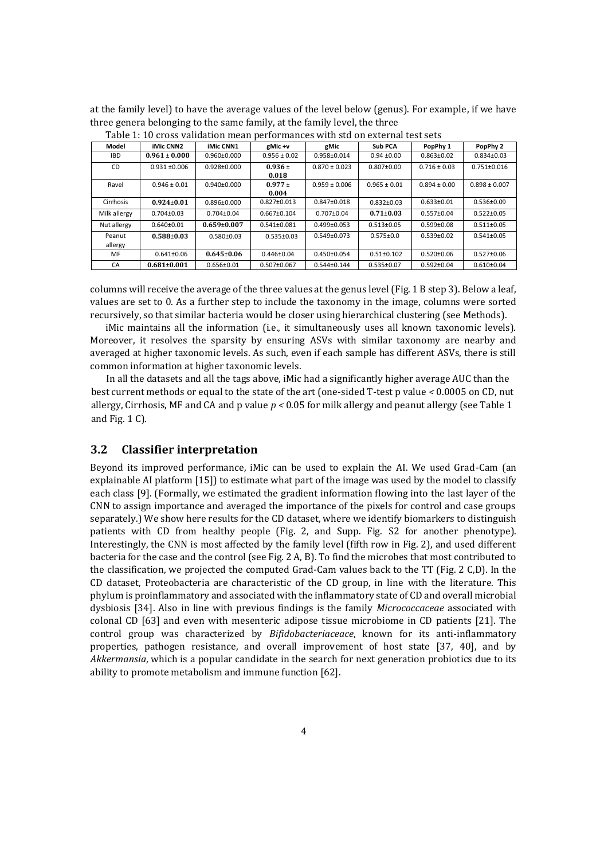at the family level) to have the average values of the level below (genus). For example, if we have three genera belonging to the same family, at the family level, the three

|                   | 1 apre 11 10 cross vanaation mean periormanees with sta on external test sets |                   |                      |                   |                  |                  |                   |  |  |  |  |  |
|-------------------|-------------------------------------------------------------------------------|-------------------|----------------------|-------------------|------------------|------------------|-------------------|--|--|--|--|--|
| Model             | <b>iMic CNN2</b>                                                              | <b>iMic CNN1</b>  | gMic +v              | gMic              | Sub PCA          | PopPhy 1         | PopPhy 2          |  |  |  |  |  |
| <b>IBD</b>        | $0.961 \pm 0.000$                                                             | $0.960 \pm 0.000$ | $0.956 \pm 0.02$     | 0.958±0.014       | $0.94 \pm 0.00$  | $0.863 \pm 0.02$ | $0.834 \pm 0.03$  |  |  |  |  |  |
| CD                | $0.931 \pm 0.006$                                                             | $0.928 \pm 0.000$ | $0.936 \pm$<br>0.018 | $0.870 \pm 0.023$ | $0.807 \pm 0.00$ | $0.716 \pm 0.03$ | $0.751 \pm 0.016$ |  |  |  |  |  |
| Ravel             | $0.946 \pm 0.01$                                                              | $0.940 \pm 0.000$ | $0.977 \pm$<br>0.004 | $0.959 \pm 0.006$ | $0.965 \pm 0.01$ | $0.894 \pm 0.00$ | $0.898 \pm 0.007$ |  |  |  |  |  |
| Cirrhosis         | $0.924 \pm 0.01$                                                              | $0.896 \pm 0.000$ | $0.827 \pm 0.013$    | $0.847 \pm 0.018$ | $0.832 \pm 0.03$ | $0.633 \pm 0.01$ | $0.536 \pm 0.09$  |  |  |  |  |  |
| Milk allergy      | $0.704 \pm 0.03$                                                              | $0.704 \pm 0.04$  | $0.667 \pm 0.104$    | $0.707 \pm 0.04$  | $0.71 \pm 0.03$  | $0.557 \pm 0.04$ | $0.522 \pm 0.05$  |  |  |  |  |  |
| Nut allergy       | $0.640 \pm 0.01$                                                              | $0.659 \pm 0.007$ | $0.541 \pm 0.081$    | $0.499 \pm 0.053$ | $0.513 \pm 0.05$ | $0.599 \pm 0.08$ | $0.511 \pm 0.05$  |  |  |  |  |  |
| Peanut<br>allergy | $0.588 \pm 0.03$                                                              | $0.580 \pm 0.03$  | $0.535 \pm 0.03$     | $0.549 \pm 0.073$ | $0.575 \pm 0.0$  | $0.539 \pm 0.02$ | $0.541 \pm 0.05$  |  |  |  |  |  |
| MF                | $0.641 \pm 0.06$                                                              | $0.645 \pm 0.06$  | $0.446 \pm 0.04$     | $0.450 \pm 0.054$ | $0.51 \pm 0.102$ | $0.520 \pm 0.06$ | $0.527 \pm 0.06$  |  |  |  |  |  |
| CA                | $0.681 \pm 0.001$                                                             | $0.656 \pm 0.01$  | $0.507 \pm 0.067$    | $0.544 \pm 0.144$ | $0.535 \pm 0.07$ | $0.592 \pm 0.04$ | $0.610 \pm 0.04$  |  |  |  |  |  |

Table 1: 10 cross validation mean performances with std on external test sets

columns will receive the average of the three values at the genus level (Fig. 1 B step 3). Below a leaf, values are set to 0. As a further step to include the taxonomy in the image, columns were sorted recursively, so that similar bacteria would be closer using hierarchical clustering (see Methods).

iMic maintains all the information (i.e., it simultaneously uses all known taxonomic levels). Moreover, it resolves the sparsity by ensuring ASVs with similar taxonomy are nearby and averaged at higher taxonomic levels. As such, even if each sample has different ASVs, there is still common information at higher taxonomic levels.

In all the datasets and all the tags above, iMic had a significantly higher average AUC than the best current methods or equal to the state of the art (one-sided T-test p value *<* 0.0005 on CD, nut allergy, Cirrhosis, MF and CA and p value  $p < 0.05$  for milk allergy and peanut allergy (see Table 1) and Fig. 1 C).

#### **3.2 Classifier interpretation**

Beyond its improved performance, iMic can be used to explain the AI. We used Grad-Cam (an explainable AI platform [15]) to estimate what part of the image was used by the model to classify each class [9]. (Formally, we estimated the gradient information flowing into the last layer of the CNN to assign importance and averaged the importance of the pixels for control and case groups separately.) We show here results for the CD dataset, where we identify biomarkers to distinguish patients with CD from healthy people (Fig. 2, and Supp. Fig. S2 for another phenotype). Interestingly, the CNN is most affected by the family level (fifth row in Fig. 2), and used different bacteria for the case and the control (see Fig. 2 A, B). To find the microbes that most contributed to the classification, we projected the computed Grad-Cam values back to the TT (Fig. 2 C,D). In the CD dataset, Proteobacteria are characteristic of the CD group, in line with the literature. This phylum is proinflammatory and associated with the inflammatory state of CD and overall microbial dysbiosis [34]. Also in line with previous findings is the family *Micrococcaceae* associated with colonal CD [63] and even with mesenteric adipose tissue microbiome in CD patients [21]. The control group was characterized by *Bifidobacteriaceace*, known for its anti-inflammatory properties, pathogen resistance, and overall improvement of host state [37, 40], and by *Akkermansia*, which is a popular candidate in the search for next generation probiotics due to its ability to promote metabolism and immune function [62].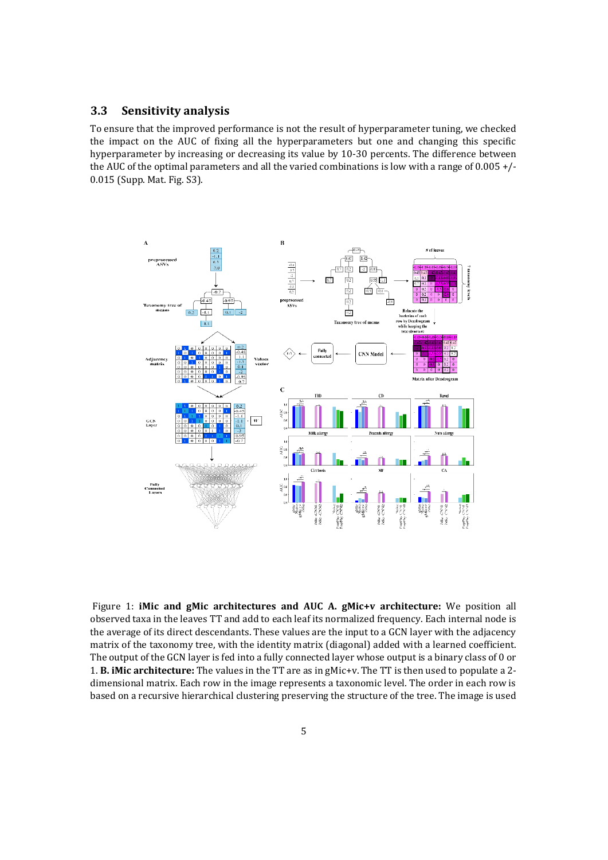## **3.3 Sensitivity analysis**

To ensure that the improved performance is not the result of hyperparameter tuning, we checked the impact on the AUC of fixing all the hyperparameters but one and changing this specific hyperparameter by increasing or decreasing its value by 10-30 percents. The difference between the AUC of the optimal parameters and all the varied combinations is low with a range of 0.005 +/- 0.015 (Supp. Mat. Fig. S3).



Figure 1: **iMic and gMic architectures and AUC A. gMic+v architecture:** We position all observed taxa in the leaves TT and add to each leaf its normalized frequency. Each internal node is the average of its direct descendants. These values are the input to a GCN layer with the adjacency matrix of the taxonomy tree, with the identity matrix (diagonal) added with a learned coefficient. The output of the GCN layer is fed into a fully connected layer whose output is a binary class of 0 or 1. **B. iMic architecture:** The values in the TT are as in gMic+v. The TT is then used to populate a 2 dimensional matrix. Each row in the image represents a taxonomic level. The order in each row is based on a recursive hierarchical clustering preserving the structure of the tree. The image is used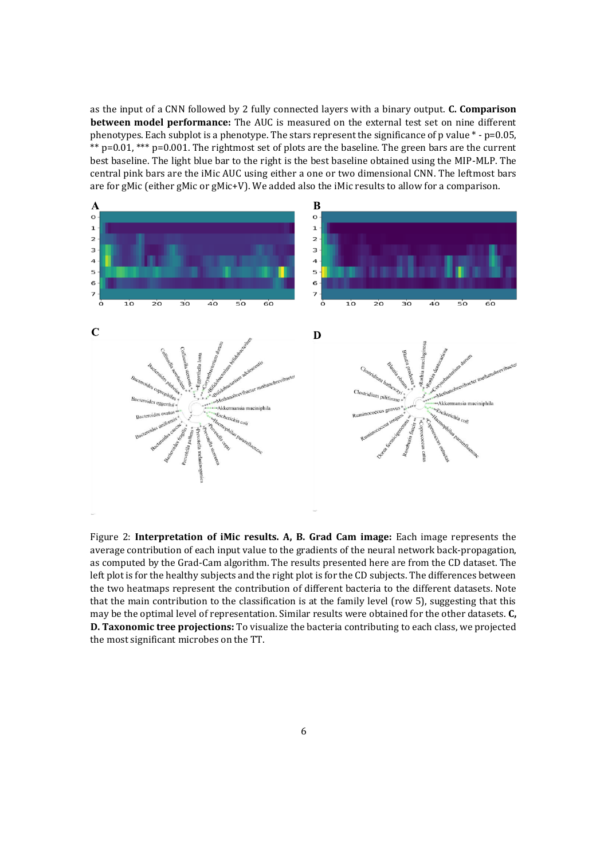as the input of a CNN followed by 2 fully connected layers with a binary output. **C. Comparison between model performance:** The AUC is measured on the external test set on nine different phenotypes. Each subplot is a phenotype. The stars represent the significance of p value  $*$  -  $p=0.05$ , \*\*  $p=0.01$ , \*\*\*  $p=0.001$ . The rightmost set of plots are the baseline. The green bars are the current best baseline. The light blue bar to the right is the best baseline obtained using the MIP-MLP. The central pink bars are the iMic AUC using either a one or two dimensional CNN. The leftmost bars are for gMic (either gMic or gMic+V). We added also the iMic results to allow for a comparison.



Figure 2: **Interpretation of iMic results. A, B. Grad Cam image:** Each image represents the average contribution of each input value to the gradients of the neural network back-propagation, as computed by the Grad-Cam algorithm. The results presented here are from the CD dataset. The left plot is for the healthy subjects and the right plot is for the CD subjects. The differences between the two heatmaps represent the contribution of different bacteria to the different datasets. Note that the main contribution to the classification is at the family level (row 5), suggesting that this may be the optimal level of representation. Similar results were obtained for the other datasets. **C, D. Taxonomic tree projections:** To visualize the bacteria contributing to each class, we projected the most significant microbes on the TT.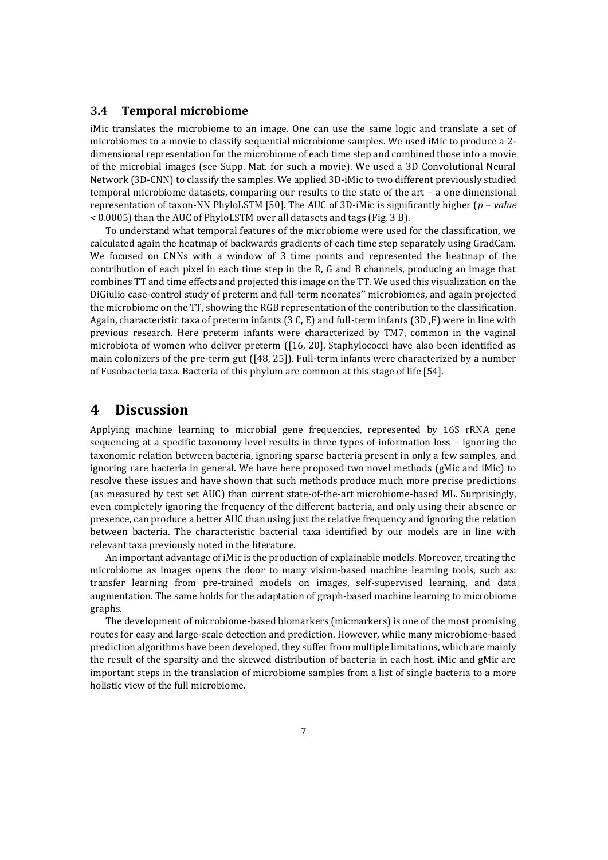### **3.4 Temporal microbiome**

iMic translates the microbiome to an image. One can use the same logic and translate a set of microbiomes to a movie to classify sequential microbiome samples. We used iMic to produce a 2 dimensional representation for the microbiome of each time step and combined those into a movie of the microbial images (see Supp. Mat. for such a movie). We used a 3D Convolutional Neural Network (3D-CNN) to classify the samples. We applied 3D-iMic to two different previously studied temporal microbiome datasets, comparing our results to the state of the art – a one dimensional representation of taxon-NN PhyloLSTM [50]. The AUC of 3D-iMic is significantly higher (*p* − *value <* 0*.*0005) than the AUC of PhyloLSTM over all datasets and tags (Fig. 3 B).

To understand what temporal features of the microbiome were used for the classification, we calculated again the heatmap of backwards gradients of each time step separately using GradCam. We focused on CNNs with a window of 3 time points and represented the heatmap of the contribution of each pixel in each time step in the R, G and B channels, producing an image that combines TT and time effects and projected this image on the TT. We used this visualization on the DiGiulio case-control study of preterm and full-term neonates'' microbiomes, and again projected the microbiome on the TT, showing the RGB representation of the contribution to the classification. Again, characteristic taxa of preterm infants (3 C, E) and full-term infants (3D ,F) were in line with previous research. Here preterm infants were characterized by TM7, common in the vaginal microbiota of women who deliver preterm ([16, 20]. Staphylococci have also been identified as main colonizers of the pre-term gut ([48, 25]). Full-term infants were characterized by a number of Fusobacteria taxa. Bacteria of this phylum are common at this stage of life [54].

## **4 Discussion**

Applying machine learning to microbial gene frequencies, represented by 16S rRNA gene sequencing at a specific taxonomy level results in three types of information loss – ignoring the taxonomic relation between bacteria, ignoring sparse bacteria present in only a few samples, and ignoring rare bacteria in general. We have here proposed two novel methods (gMic and iMic) to resolve these issues and have shown that such methods produce much more precise predictions (as measured by test set AUC) than current state-of-the-art microbiome-based ML. Surprisingly, even completely ignoring the frequency of the different bacteria, and only using their absence or presence, can produce a better AUC than using just the relative frequency and ignoring the relation between bacteria. The characteristic bacterial taxa identified by our models are in line with relevant taxa previously noted in the literature.

An important advantage of iMic is the production of explainable models. Moreover, treating the microbiome as images opens the door to many vision-based machine learning tools, such as: transfer learning from pre-trained models on images, self-supervised learning, and data augmentation. The same holds for the adaptation of graph-based machine learning to microbiome graphs.

The development of microbiome-based biomarkers (micmarkers) is one of the most promising routes for easy and large-scale detection and prediction. However, while many microbiome-based prediction algorithms have been developed, they suffer from multiple limitations, which are mainly the result of the sparsity and the skewed distribution of bacteria in each host. iMic and gMic are important steps in the translation of microbiome samples from a list of single bacteria to a more holistic view of the full microbiome.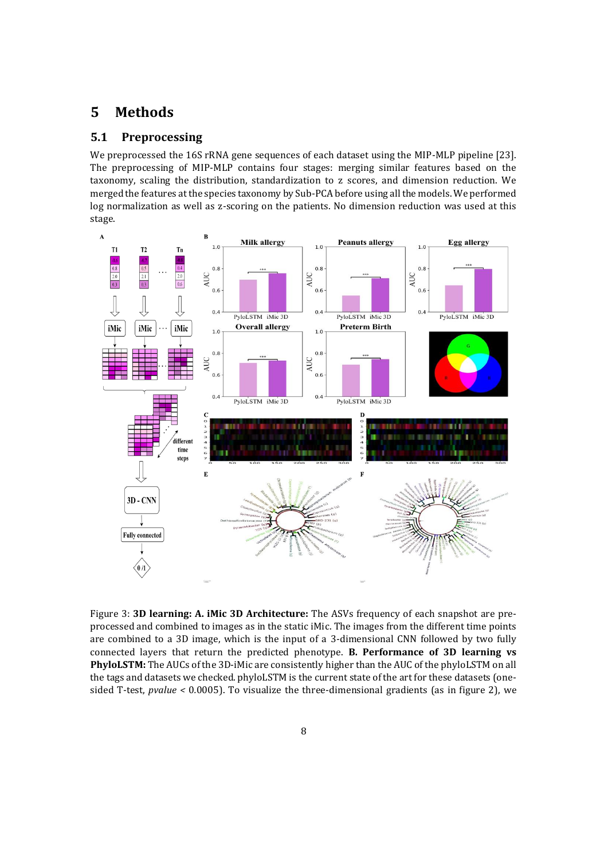## **5 Methods**

### **5.1 Preprocessing**

We preprocessed the 16S rRNA gene sequences of each dataset using the MIP-MLP pipeline [23]. The preprocessing of MIP-MLP contains four stages: merging similar features based on the taxonomy, scaling the distribution, standardization to z scores, and dimension reduction. We merged the features at the species taxonomy by Sub-PCA before using all the models. We performed log normalization as well as z-scoring on the patients. No dimension reduction was used at this stage.



Figure 3: **3D learning: A. iMic 3D Architecture:** The ASVs frequency of each snapshot are preprocessed and combined to images as in the static iMic. The images from the different time points are combined to a 3D image, which is the input of a 3-dimensional CNN followed by two fully connected layers that return the predicted phenotype. **B. Performance of 3D learning vs PhyloLSTM:** The AUCs of the 3D-iMic are consistently higher than the AUC of the phyloLSTM on all the tags and datasets we checked. phyloLSTM is the current state of the art for these datasets (onesided T-test, *pvalue <* 0*.*0005). To visualize the three-dimensional gradients (as in figure 2), we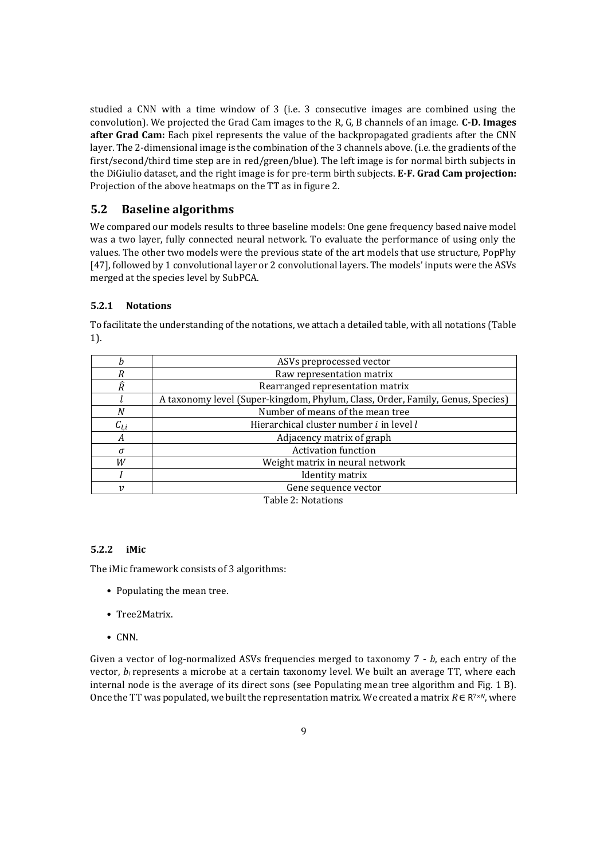studied a CNN with a time window of 3 (i.e. 3 consecutive images are combined using the convolution). We projected the Grad Cam images to the R, G, B channels of an image. **C-D. Images after Grad Cam:** Each pixel represents the value of the backpropagated gradients after the CNN layer. The 2-dimensional image is the combination of the 3 channels above. (i.e. the gradients of the first/second/third time step are in red/green/blue). The left image is for normal birth subjects in the DiGiulio dataset, and the right image is for pre-term birth subjects. **E-F. Grad Cam projection:**  Projection of the above heatmaps on the TT as in figure 2.

### **5.2 Baseline algorithms**

We compared our models results to three baseline models: One gene frequency based naive model was a two layer, fully connected neural network. To evaluate the performance of using only the values. The other two models were the previous state of the art models that use structure, PopPhy [47], followed by 1 convolutional layer or 2 convolutional layers. The models' inputs were the ASVs merged at the species level by SubPCA.

#### **5.2.1 Notations**

|                     | ASVs preprocessed vector                                                       |
|---------------------|--------------------------------------------------------------------------------|
| R                   | Raw representation matrix                                                      |
| Ŕ                   | Rearranged representation matrix                                               |
|                     | A taxonomy level (Super-kingdom, Phylum, Class, Order, Family, Genus, Species) |
| N                   | Number of means of the mean tree                                               |
| $\mathcal{C}_{l.i}$ | Hierarchical cluster number i in level l                                       |
| А                   | Adjacency matrix of graph                                                      |
| $\sigma$            | <b>Activation function</b>                                                     |
| W                   | Weight matrix in neural network                                                |
|                     | <b>Identity matrix</b>                                                         |
| 12                  | Gene sequence vector                                                           |
|                     | m 11 o 37                                                                      |

To facilitate the understanding of the notations, we attach a detailed table, with all notations (Table 1).

Table 2: Notations

#### **5.2.2 iMic**

The iMic framework consists of 3 algorithms:

- Populating the mean tree.
- Tree2Matrix.
- CNN.

Given a vector of log-normalized ASVs frequencies merged to taxonomy 7 - *b*, each entry of the vector, *b<sub>i</sub>* represents a microbe at a certain taxonomy level. We built an average TT, where each internal node is the average of its direct sons (see Populating mean tree algorithm and Fig. 1 B). Once the TT was populated, we built the representation matrix. We created a matrix  $R \in R^{7 \times N}$ , where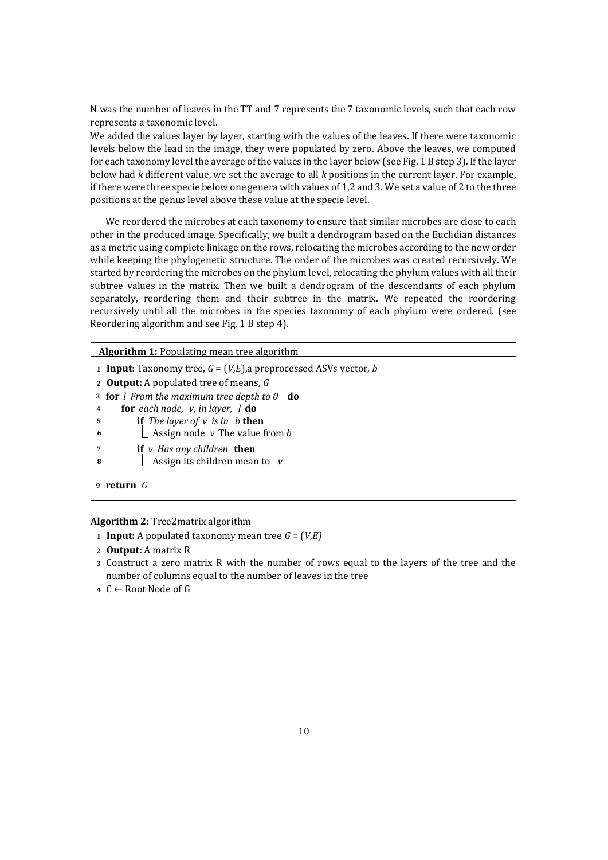N was the number of leaves in the TT and 7 represents the 7 taxonomic levels, such that each row represents a taxonomic level.

We added the values layer by layer, starting with the values of the leaves. If there were taxonomic levels below the lead in the image, they were populated by zero. Above the leaves, we computed for each taxonomy level the average of the values in the layer below (see Fig. 1 B step 3). If the layer below had *k* different value, we set the average to all *k* positions in the current layer. For example, if there were three specie below one genera with values of 1,2 and 3. We set a value of 2 to the three positions at the genus level above these value at the specie level.

We reordered the microbes at each taxonomy to ensure that similar microbes are close to each other in the produced image. Specifically, we built a dendrogram based on the Euclidian distances as a metric using complete linkage on the rows, relocating the microbes according to the new order while keeping the phylogenetic structure. The order of the microbes was created recursively. We started by reordering the microbes on the phylum level, relocating the phylum values with all their subtree values in the matrix. Then we built a dendrogram of the descendants of each phylum separately, reordering them and their subtree in the matrix. We repeated the reordering recursively until all the microbes in the species taxonomy of each phylum were ordered. (see Reordering algorithm and see Fig. 1 B step 4).

**Algorithm 1:** Populating mean tree algorithm

 **Input:** Taxonomy tree, *G* = (*V,E*),a preprocessed ASVs vector, *b* **Output:** A populated tree of means, *G* **for** *l From the maximum tree depth to 0* **do for** *each node, v, in layer, l* **do if** *The layer of v is in b* **then**  $\vert$   $\vert$   $\vert$  Assign node *v* The value from *b*  **if** *v Has any children* **then**  $\vert$   $\vert$   $\vert$  Assign its children mean to *v* **<sup>9</sup> return** *G*

**Algorithm 2:** Tree2matrix algorithm

- **<sup>1</sup> Input:** A populated taxonomy mean tree *G* = (*V,E)*
- **<sup>2</sup> Output:** A matrix R
- **<sup>3</sup>** Construct a zero matrix R with the number of rows equal to the layers of the tree and the number of columns equal to the number of leaves in the tree
- **<sup>4</sup>** C ← Root Node of G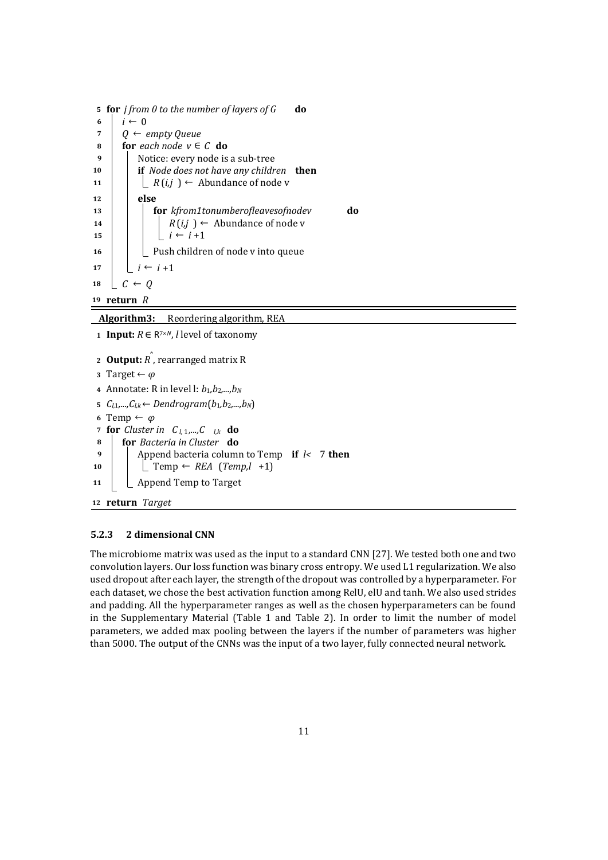|                | 5 for <i>j</i> from 0 to the number of layers of G<br>do |
|----------------|----------------------------------------------------------|
| 6              | $i \leftarrow 0$                                         |
| $\overline{7}$ | $\leftarrow$ empty Queue<br>0                            |
| 8              | for each node $v \in C$ do                               |
| 9              | Notice: every node is a sub-tree                         |
| 10             | if Node does not have any children then                  |
| 11             | $R(i,j) \leftarrow$ Abundance of node v                  |
| 12             | else                                                     |
| 13             | <b>for</b> kfrom1tonumberofleavesofnodev<br>do           |
| 14             | $R(i,j) \leftarrow$ Abundance of node v                  |
| 15             | $i \leftarrow i + 1$                                     |
| 16             | Push children of node v into queue                       |
| 17             | $i \leftarrow i + 1$                                     |
| 18             | $C \leftarrow 0$                                         |
|                | 19 return R                                              |

**Algorithm3:** Reordering algorithm, REA

**1 Input:**  $R ∈ R<sup>7×N</sup>,$  *l* level of taxonomy

```
2 Output: R
ˆ
, rearranged matrix R
3 Target ← φ
 4 Annotate: R in level l: b1,b2,...,bN
 5 Cl,1,...,Cl,k ← Dendrogram(b1,b2,...,bN)
 6 Temp ← φ
 7 for Cluster in C_{l,1},...,C_{l,k} do
 8 for Bacteria in Cluster do
 9 \vert Append bacteria column to Temp if l < 7 then
10 \vert \vert Temp \leftarrow REA (Temp,l +1)
11 | \Box Append Temp to Target
12 return Target
```
### **5.2.3 2 dimensional CNN**

The microbiome matrix was used as the input to a standard CNN [27]. We tested both one and two convolution layers. Our loss function was binary cross entropy. We used L1 regularization. We also used dropout after each layer, the strength of the dropout was controlled by a hyperparameter. For each dataset, we chose the best activation function among RelU, elU and tanh. We also used strides and padding. All the hyperparameter ranges as well as the chosen hyperparameters can be found in the Supplementary Material (Table 1 and Table 2). In order to limit the number of model parameters, we added max pooling between the layers if the number of parameters was higher than 5000. The output of the CNNs was the input of a two layer, fully connected neural network.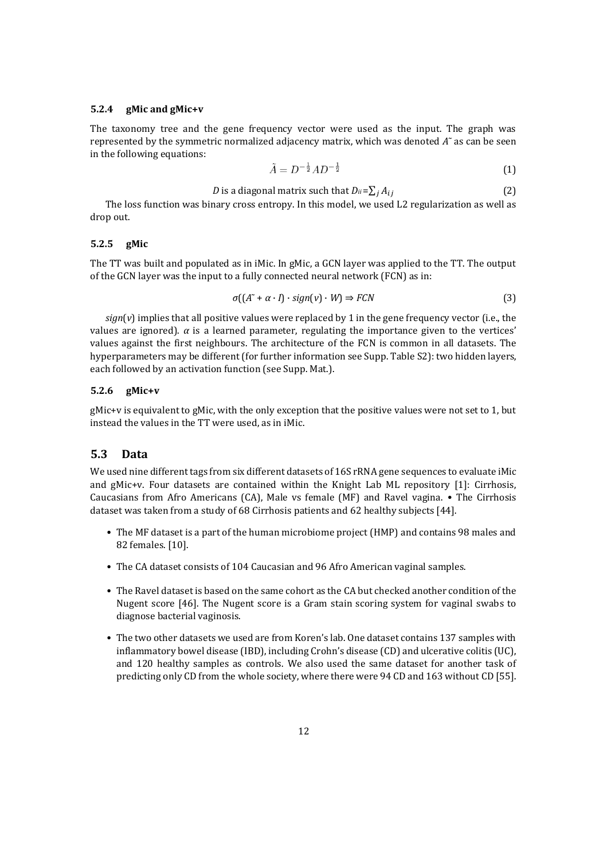#### **5.2.4 gMic and gMic+v**

The taxonomy tree and the gene frequency vector were used as the input. The graph was represented by the symmetric normalized adjacency matrix, which was denoted *A*˜ as can be seen in the following equations:

$$
\tilde{A} = D^{-\frac{1}{2}} A D^{-\frac{1}{2}} \tag{1}
$$

*D* is a diagonal matrix such that 
$$
D_{ii} = \sum_j A_{ij}
$$
 (2)

The loss function was binary cross entropy. In this model, we used L2 regularization as well as drop out.

#### **5.2.5 gMic**

The TT was built and populated as in iMic. In gMic, a GCN layer was applied to the TT. The output of the GCN layer was the input to a fully connected neural network (FCN) as in:

$$
\sigma\left(\left(A^{\sim} + \alpha \cdot I\right) \cdot \text{sign}(v) \cdot W\right) \Rightarrow FCN
$$
\n<sup>(3)</sup>

 $sign(v)$  implies that all positive values were replaced by 1 in the gene frequency vector (i.e., the values are ignored).  $\alpha$  is a learned parameter, regulating the importance given to the vertices' values against the first neighbours. The architecture of the FCN is common in all datasets. The hyperparameters may be different (for further information see Supp. Table S2): two hidden layers, each followed by an activation function (see Supp. Mat.).

#### **5.2.6 gMic+v**

gMic+v is equivalent to gMic, with the only exception that the positive values were not set to 1, but instead the values in the TT were used, as in iMic.

## **5.3 Data**

We used nine different tags from six different datasets of 16S rRNA gene sequences to evaluate iMic and gMic+v. Four datasets are contained within the Knight Lab ML repository [1]: Cirrhosis, Caucasians from Afro Americans (CA), Male vs female (MF) and Ravel vagina. • The Cirrhosis dataset was taken from a study of 68 Cirrhosis patients and 62 healthy subjects [44].

- The MF dataset is a part of the human microbiome project (HMP) and contains 98 males and 82 females. [10].
- The CA dataset consists of 104 Caucasian and 96 Afro American vaginal samples.
- The Ravel dataset is based on the same cohort as the CA but checked another condition of the Nugent score [46]. The Nugent score is a Gram stain scoring system for vaginal swabs to diagnose bacterial vaginosis.
- The two other datasets we used are from Koren's lab. One dataset contains 137 samples with inflammatory bowel disease (IBD), including Crohn's disease (CD) and ulcerative colitis (UC), and 120 healthy samples as controls. We also used the same dataset for another task of predicting only CD from the whole society, where there were 94 CD and 163 without CD [55].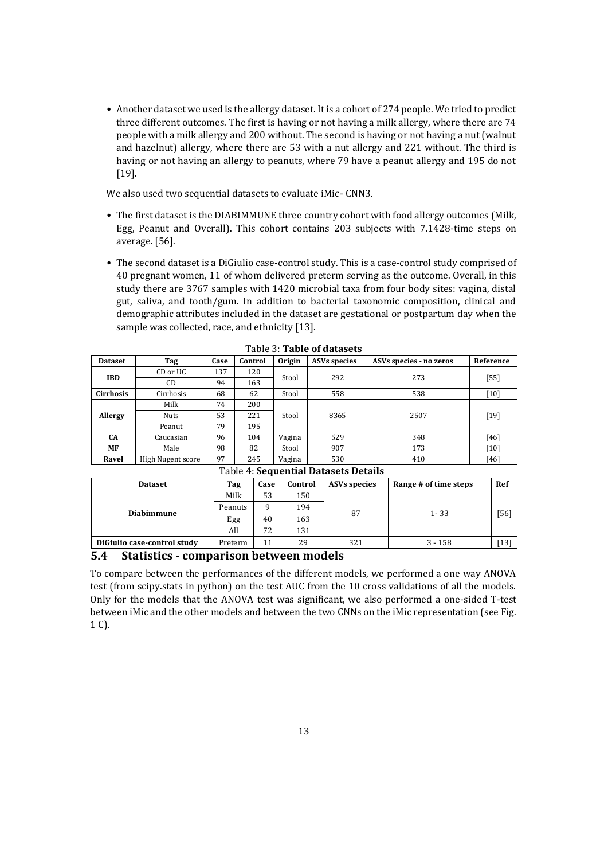• Another dataset we used is the allergy dataset. It is a cohort of 274 people. We tried to predict three different outcomes. The first is having or not having a milk allergy, where there are 74 people with a milk allergy and 200 without. The second is having or not having a nut (walnut and hazelnut) allergy, where there are 53 with a nut allergy and 221 without. The third is having or not having an allergy to peanuts, where 79 have a peanut allergy and 195 do not [19].

We also used two sequential datasets to evaluate iMic- CNN3.

- The first dataset is the DIABIMMUNE three country cohort with food allergy outcomes (Milk, Egg, Peanut and Overall). This cohort contains 203 subjects with 7.1428-time steps on average. [56].
- The second dataset is a DiGiulio case-control study. This is a case-control study comprised of 40 pregnant women, 11 of whom delivered preterm serving as the outcome. Overall, in this study there are 3767 samples with 1420 microbial taxa from four body sites: vagina, distal gut, saliva, and tooth/gum. In addition to bacterial taxonomic composition, clinical and demographic attributes included in the dataset are gestational or postpartum day when the sample was collected, race, and ethnicity [13].

| <b>Dataset</b>   | Tag                                                   | Case | Control | <b>Origin</b> | <b>ASVs species</b> | ASVs species - no zeros | Reference |  |  |  |
|------------------|-------------------------------------------------------|------|---------|---------------|---------------------|-------------------------|-----------|--|--|--|
| <b>IBD</b>       | CD or UC                                              | 137  | 120     |               | 292                 | 273                     |           |  |  |  |
|                  | C <sub>D</sub>                                        | 94   | 163     | Stool         |                     |                         | $[55]$    |  |  |  |
| <b>Cirrhosis</b> | Cirrhosis                                             | 68   | 62      | Stool         | 558                 | 538                     | [10]      |  |  |  |
|                  | Milk                                                  | 74   | 200     |               | 8365                | 2507                    | $[19]$    |  |  |  |
| Allergy          | Nuts                                                  | 53   | 221     | Stool         |                     |                         |           |  |  |  |
|                  | Peanut                                                | 79   | 195     |               |                     |                         |           |  |  |  |
| <b>CA</b>        | Caucasian                                             | 96   | 104     | Vagina        | 529                 | 348                     | $[46]$    |  |  |  |
| MF               | Male                                                  | 98   | 82      | Stool         | 907                 | 173                     | [10]      |  |  |  |
| Ravel            | High Nugent score                                     | 97   | 245     | Vagina        | 530                 | 410                     | [46]      |  |  |  |
|                  | $T-1-1-1$ $C_1$ and $C_2$ is the $R$ state $R$ state. |      |         |               |                     |                         |           |  |  |  |

Table 3: **Table of datasets**

| Table 4: Sequential Datasets Details |         |      |         |                     |                       |        |  |  |  |
|--------------------------------------|---------|------|---------|---------------------|-----------------------|--------|--|--|--|
| <b>Dataset</b>                       | Tag     | Case | Control | <b>ASVs species</b> | Range # of time steps | Ref    |  |  |  |
|                                      | Milk    | 53   | 150     |                     |                       |        |  |  |  |
| <b>Diabimmune</b>                    | Peanuts | a    | 194     | 87                  | $1 - 33$              |        |  |  |  |
|                                      | Egg     | 40   | 163     |                     |                       | $[56]$ |  |  |  |
|                                      | All     | 72   | 131     |                     |                       |        |  |  |  |
| Digiulio case-control study          | Preterm | 11   | 29      | 321                 | $3 - 158$             | $[13]$ |  |  |  |
| .<br>- -                             |         |      |         |                     |                       |        |  |  |  |

#### **5.4 Statistics - comparison between models**

To compare between the performances of the different models, we performed a one way ANOVA test (from scipy.stats in python) on the test AUC from the 10 cross validations of all the models. Only for the models that the ANOVA test was significant, we also performed a one-sided T-test between iMic and the other models and between the two CNNs on the iMic representation (see Fig. 1 C).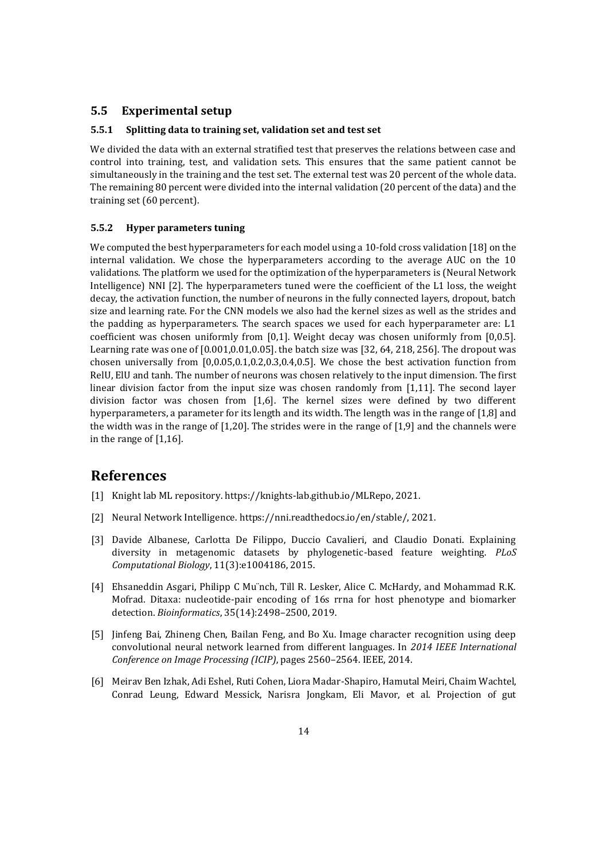### **5.5 Experimental setup**

#### **5.5.1 Splitting data to training set, validation set and test set**

We divided the data with an external stratified test that preserves the relations between case and control into training, test, and validation sets. This ensures that the same patient cannot be simultaneously in the training and the test set. The external test was 20 percent of the whole data. The remaining 80 percent were divided into the internal validation (20 percent of the data) and the training set (60 percent).

#### **5.5.2 Hyper parameters tuning**

We computed the best hyperparameters for each model using a 10-fold cross validation [18] on the internal validation. We chose the hyperparameters according to the average AUC on the 10 validations. The platform we used for the optimization of the hyperparameters is (Neural Network Intelligence) NNI [2]. The hyperparameters tuned were the coefficient of the L1 loss, the weight decay, the activation function, the number of neurons in the fully connected layers, dropout, batch size and learning rate. For the CNN models we also had the kernel sizes as well as the strides and the padding as hyperparameters. The search spaces we used for each hyperparameter are: L1 coefficient was chosen uniformly from [0,1]. Weight decay was chosen uniformly from [0,0.5]. Learning rate was one of [0.001,0.01,0.05]. the batch size was [32, 64, 218, 256]. The dropout was chosen universally from [0,0.05,0.1,0.2,0.3,0.4,0.5]. We chose the best activation function from RelU, ElU and tanh. The number of neurons was chosen relatively to the input dimension. The first linear division factor from the input size was chosen randomly from [1,11]. The second layer division factor was chosen from [1,6]. The kernel sizes were defined by two different hyperparameters, a parameter for its length and its width. The length was in the range of [1,8] and the width was in the range of [1,20]. The strides were in the range of [1,9] and the channels were in the range of [1,16].

## **References**

- [1] Knight lab ML repository. https://knights-lab.github.io/MLRepo, 2021.
- [2] Neural Network Intelligence. https://nni.readthedocs.io/en/stable/, 2021.
- [3] Davide Albanese, Carlotta De Filippo, Duccio Cavalieri, and Claudio Donati. Explaining diversity in metagenomic datasets by phylogenetic-based feature weighting. *PLoS Computational Biology*, 11(3):e1004186, 2015.
- [4] Ehsaneddin Asgari, Philipp C Mu¨nch, Till R. Lesker, Alice C. McHardy, and Mohammad R.K. Mofrad. Ditaxa: nucleotide-pair encoding of 16s rrna for host phenotype and biomarker detection. *Bioinformatics*, 35(14):2498–2500, 2019.
- [5] Jinfeng Bai, Zhineng Chen, Bailan Feng, and Bo Xu. Image character recognition using deep convolutional neural network learned from different languages. In *2014 IEEE International Conference on Image Processing (ICIP)*, pages 2560–2564. IEEE, 2014.
- [6] Meirav Ben Izhak, Adi Eshel, Ruti Cohen, Liora Madar-Shapiro, Hamutal Meiri, Chaim Wachtel, Conrad Leung, Edward Messick, Narisra Jongkam, Eli Mavor, et al. Projection of gut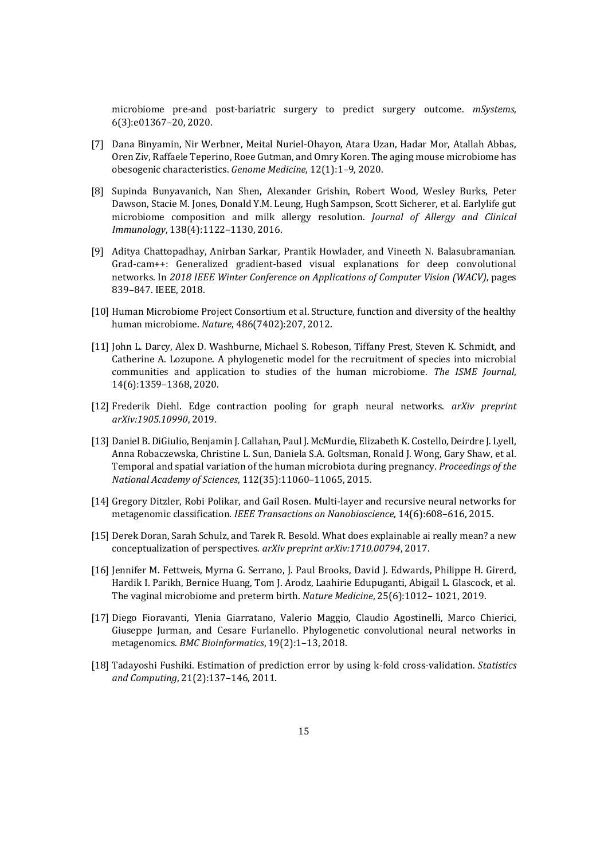microbiome pre-and post-bariatric surgery to predict surgery outcome. *mSystems*, 6(3):e01367–20, 2020.

- [7] Dana Binyamin, Nir Werbner, Meital Nuriel-Ohayon, Atara Uzan, Hadar Mor, Atallah Abbas, Oren Ziv, Raffaele Teperino, Roee Gutman, and Omry Koren. The aging mouse microbiome has obesogenic characteristics. *Genome Medicine*, 12(1):1–9, 2020.
- [8] Supinda Bunyavanich, Nan Shen, Alexander Grishin, Robert Wood, Wesley Burks, Peter Dawson, Stacie M. Jones, Donald Y.M. Leung, Hugh Sampson, Scott Sicherer, et al. Earlylife gut microbiome composition and milk allergy resolution. *Journal of Allergy and Clinical Immunology*, 138(4):1122–1130, 2016.
- [9] Aditya Chattopadhay, Anirban Sarkar, Prantik Howlader, and Vineeth N. Balasubramanian. Grad-cam++: Generalized gradient-based visual explanations for deep convolutional networks. In *2018 IEEE Winter Conference on Applications of Computer Vision (WACV)*, pages 839–847. IEEE, 2018.
- [10] Human Microbiome Project Consortium et al. Structure, function and diversity of the healthy human microbiome. *Nature*, 486(7402):207, 2012.
- [11] John L. Darcy, Alex D. Washburne, Michael S. Robeson, Tiffany Prest, Steven K. Schmidt, and Catherine A. Lozupone. A phylogenetic model for the recruitment of species into microbial communities and application to studies of the human microbiome. *The ISME Journal*, 14(6):1359–1368, 2020.
- [12] Frederik Diehl. Edge contraction pooling for graph neural networks. *arXiv preprint arXiv:1905.10990*, 2019.
- [13] Daniel B. DiGiulio, Benjamin J. Callahan, Paul J. McMurdie, Elizabeth K. Costello, Deirdre J. Lyell, Anna Robaczewska, Christine L. Sun, Daniela S.A. Goltsman, Ronald J. Wong, Gary Shaw, et al. Temporal and spatial variation of the human microbiota during pregnancy. *Proceedings of the National Academy of Sciences*, 112(35):11060–11065, 2015.
- [14] Gregory Ditzler, Robi Polikar, and Gail Rosen. Multi-layer and recursive neural networks for metagenomic classification. *IEEE Transactions on Nanobioscience*, 14(6):608–616, 2015.
- [15] Derek Doran, Sarah Schulz, and Tarek R. Besold. What does explainable ai really mean? a new conceptualization of perspectives. *arXiv preprint arXiv:1710.00794*, 2017.
- [16] Jennifer M. Fettweis, Myrna G. Serrano, J. Paul Brooks, David J. Edwards, Philippe H. Girerd, Hardik I. Parikh, Bernice Huang, Tom J. Arodz, Laahirie Edupuganti, Abigail L. Glascock, et al. The vaginal microbiome and preterm birth. *Nature Medicine*, 25(6):1012– 1021, 2019.
- [17] Diego Fioravanti, Ylenia Giarratano, Valerio Maggio, Claudio Agostinelli, Marco Chierici, Giuseppe Jurman, and Cesare Furlanello. Phylogenetic convolutional neural networks in metagenomics. *BMC Bioinformatics*, 19(2):1–13, 2018.
- [18] Tadayoshi Fushiki. Estimation of prediction error by using k-fold cross-validation. *Statistics and Computing*, 21(2):137–146, 2011.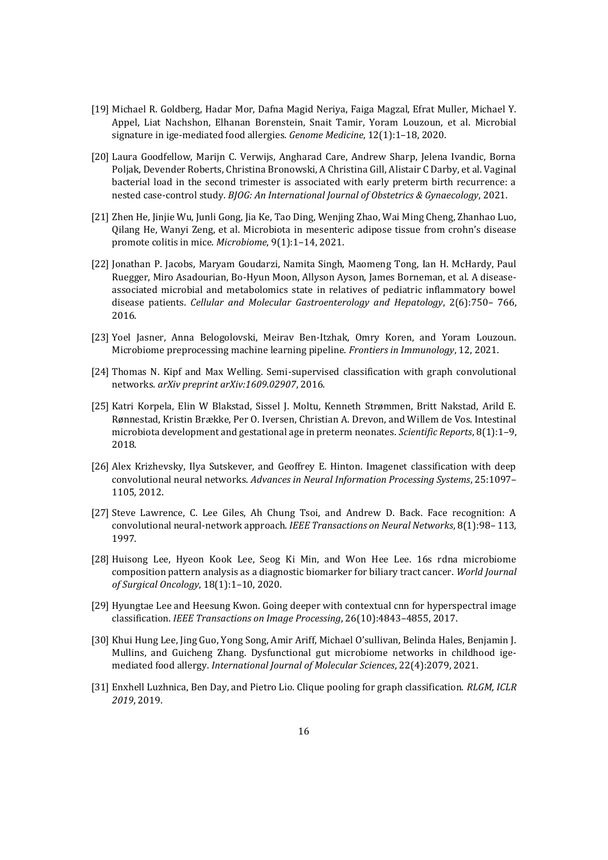- [19] Michael R. Goldberg, Hadar Mor, Dafna Magid Neriya, Faiga Magzal, Efrat Muller, Michael Y. Appel, Liat Nachshon, Elhanan Borenstein, Snait Tamir, Yoram Louzoun, et al. Microbial signature in ige-mediated food allergies. *Genome Medicine*, 12(1):1–18, 2020.
- [20] Laura Goodfellow, Marijn C. Verwijs, Angharad Care, Andrew Sharp, Jelena Ivandic, Borna Poljak, Devender Roberts, Christina Bronowski, A Christina Gill, Alistair C Darby, et al. Vaginal bacterial load in the second trimester is associated with early preterm birth recurrence: a nested case-control study. *BJOG: An International Journal of Obstetrics & Gynaecology*, 2021.
- [21] Zhen He, Jinjie Wu, Junli Gong, Jia Ke, Tao Ding, Wenjing Zhao, Wai Ming Cheng, Zhanhao Luo, Qilang He, Wanyi Zeng, et al. Microbiota in mesenteric adipose tissue from crohn's disease promote colitis in mice. *Microbiome*, 9(1):1–14, 2021.
- [22] Jonathan P. Jacobs, Maryam Goudarzi, Namita Singh, Maomeng Tong, Ian H. McHardy, Paul Ruegger, Miro Asadourian, Bo-Hyun Moon, Allyson Ayson, James Borneman, et al. A diseaseassociated microbial and metabolomics state in relatives of pediatric inflammatory bowel disease patients. *Cellular and Molecular Gastroenterology and Hepatology*, 2(6):750– 766, 2016.
- [23] Yoel Jasner, Anna Belogolovski, Meirav Ben-Itzhak, Omry Koren, and Yoram Louzoun. Microbiome preprocessing machine learning pipeline. *Frontiers in Immunology*, 12, 2021.
- [24] Thomas N. Kipf and Max Welling. Semi-supervised classification with graph convolutional networks. *arXiv preprint arXiv:1609.02907*, 2016.
- [25] Katri Korpela, Elin W Blakstad, Sissel J. Moltu, Kenneth Strømmen, Britt Nakstad, Arild E. Rønnestad, Kristin Brække, Per O. Iversen, Christian A. Drevon, and Willem de Vos. Intestinal microbiota development and gestational age in preterm neonates. *Scientific Reports*, 8(1):1–9, 2018.
- [26] Alex Krizhevsky, Ilya Sutskever, and Geoffrey E. Hinton. Imagenet classification with deep convolutional neural networks. *Advances in Neural Information Processing Systems*, 25:1097– 1105, 2012.
- [27] Steve Lawrence, C. Lee Giles, Ah Chung Tsoi, and Andrew D. Back. Face recognition: A convolutional neural-network approach. *IEEE Transactions on Neural Networks*, 8(1):98– 113, 1997.
- [28] Huisong Lee, Hyeon Kook Lee, Seog Ki Min, and Won Hee Lee. 16s rdna microbiome composition pattern analysis as a diagnostic biomarker for biliary tract cancer. *World Journal of Surgical Oncology*, 18(1):1–10, 2020.
- [29] Hyungtae Lee and Heesung Kwon. Going deeper with contextual cnn for hyperspectral image classification. *IEEE Transactions on Image Processing*, 26(10):4843–4855, 2017.
- [30] Khui Hung Lee, Jing Guo, Yong Song, Amir Ariff, Michael O'sullivan, Belinda Hales, Benjamin J. Mullins, and Guicheng Zhang. Dysfunctional gut microbiome networks in childhood igemediated food allergy. *International Journal of Molecular Sciences*, 22(4):2079, 2021.
- [31] Enxhell Luzhnica, Ben Day, and Pietro Lio. Clique pooling for graph classification. *RLGM, ICLR 2019*, 2019.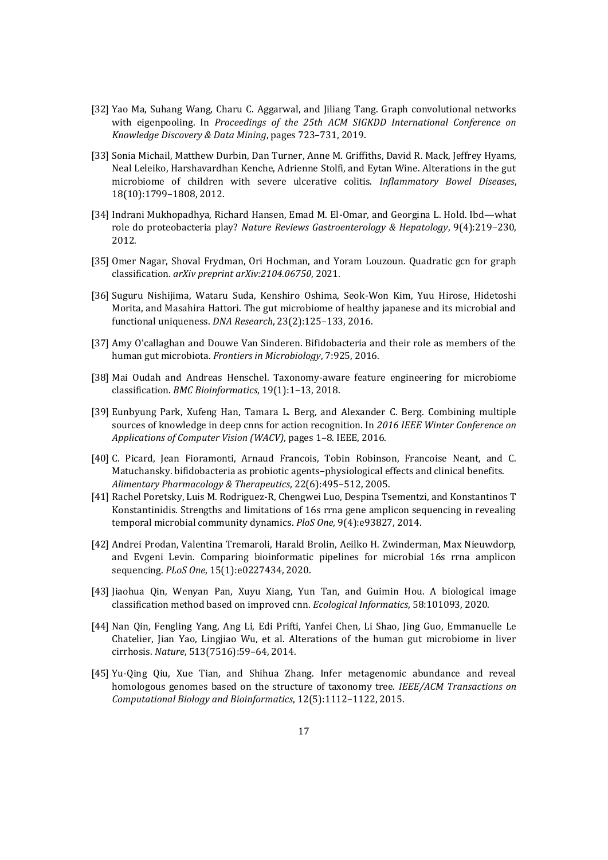- [32] Yao Ma, Suhang Wang, Charu C. Aggarwal, and Jiliang Tang. Graph convolutional networks with eigenpooling. In *Proceedings of the 25th ACM SIGKDD International Conference on Knowledge Discovery & Data Mining*, pages 723–731, 2019.
- [33] Sonia Michail, Matthew Durbin, Dan Turner, Anne M. Griffiths, David R. Mack, Jeffrey Hyams, Neal Leleiko, Harshavardhan Kenche, Adrienne Stolfi, and Eytan Wine. Alterations in the gut microbiome of children with severe ulcerative colitis. *Inflammatory Bowel Diseases*, 18(10):1799–1808, 2012.
- [34] Indrani Mukhopadhya, Richard Hansen, Emad M. El-Omar, and Georgina L. Hold. Ibd—what role do proteobacteria play? *Nature Reviews Gastroenterology & Hepatology*, 9(4):219–230, 2012.
- [35] Omer Nagar, Shoval Frydman, Ori Hochman, and Yoram Louzoun. Quadratic gcn for graph classification. *arXiv preprint arXiv:2104.06750*, 2021.
- [36] Suguru Nishijima, Wataru Suda, Kenshiro Oshima, Seok-Won Kim, Yuu Hirose, Hidetoshi Morita, and Masahira Hattori. The gut microbiome of healthy japanese and its microbial and functional uniqueness. *DNA Research*, 23(2):125–133, 2016.
- [37] Amy O'callaghan and Douwe Van Sinderen. Bifidobacteria and their role as members of the human gut microbiota. *Frontiers in Microbiology*, 7:925, 2016.
- [38] Mai Oudah and Andreas Henschel. Taxonomy-aware feature engineering for microbiome classification. *BMC Bioinformatics*, 19(1):1–13, 2018.
- [39] Eunbyung Park, Xufeng Han, Tamara L. Berg, and Alexander C. Berg. Combining multiple sources of knowledge in deep cnns for action recognition. In *2016 IEEE Winter Conference on Applications of Computer Vision (WACV)*, pages 1–8. IEEE, 2016.
- [40] C. Picard, Jean Fioramonti, Arnaud Francois, Tobin Robinson, Francoise Neant, and C. Matuchansky. bifidobacteria as probiotic agents–physiological effects and clinical benefits. *Alimentary Pharmacology & Therapeutics*, 22(6):495–512, 2005.
- [41] Rachel Poretsky, Luis M. Rodriguez-R, Chengwei Luo, Despina Tsementzi, and Konstantinos T Konstantinidis. Strengths and limitations of 16s rrna gene amplicon sequencing in revealing temporal microbial community dynamics. *PloS One*, 9(4):e93827, 2014.
- [42] Andrei Prodan, Valentina Tremaroli, Harald Brolin, Aeilko H. Zwinderman, Max Nieuwdorp, and Evgeni Levin. Comparing bioinformatic pipelines for microbial 16s rrna amplicon sequencing. *PLoS One*, 15(1):e0227434, 2020.
- [43] Jiaohua Qin, Wenyan Pan, Xuyu Xiang, Yun Tan, and Guimin Hou. A biological image classification method based on improved cnn. *Ecological Informatics*, 58:101093, 2020.
- [44] Nan Qin, Fengling Yang, Ang Li, Edi Prifti, Yanfei Chen, Li Shao, Jing Guo, Emmanuelle Le Chatelier, Jian Yao, Lingjiao Wu, et al. Alterations of the human gut microbiome in liver cirrhosis. *Nature*, 513(7516):59–64, 2014.
- [45] Yu-Qing Qiu, Xue Tian, and Shihua Zhang. Infer metagenomic abundance and reveal homologous genomes based on the structure of taxonomy tree. *IEEE/ACM Transactions on Computational Biology and Bioinformatics*, 12(5):1112–1122, 2015.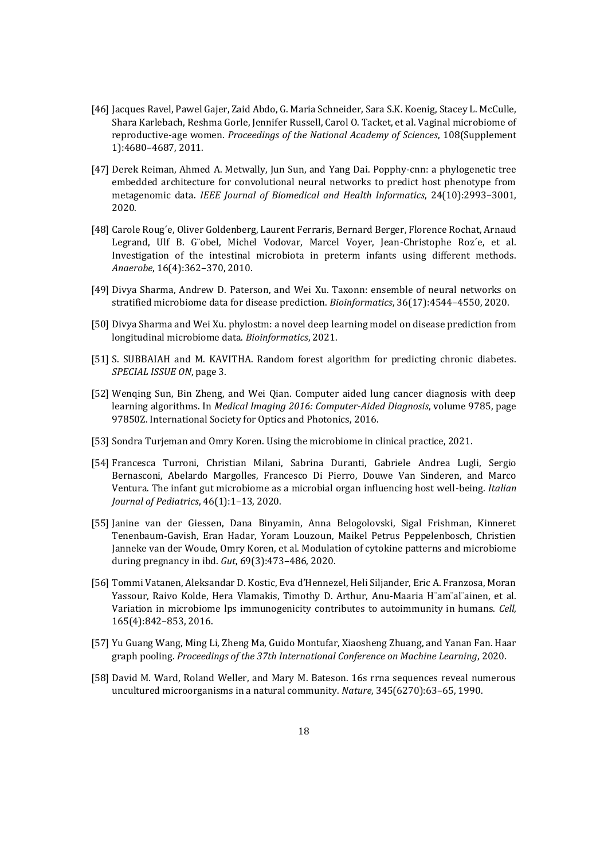- [46] Jacques Ravel, Pawel Gajer, Zaid Abdo, G. Maria Schneider, Sara S.K. Koenig, Stacey L. McCulle, Shara Karlebach, Reshma Gorle, Jennifer Russell, Carol O. Tacket, et al. Vaginal microbiome of reproductive-age women. *Proceedings of the National Academy of Sciences*, 108(Supplement 1):4680–4687, 2011.
- [47] Derek Reiman, Ahmed A. Metwally, Jun Sun, and Yang Dai. Popphy-cnn: a phylogenetic tree embedded architecture for convolutional neural networks to predict host phenotype from metagenomic data. *IEEE Journal of Biomedical and Health Informatics*, 24(10):2993–3001, 2020.
- [48] Carole Roug´e, Oliver Goldenberg, Laurent Ferraris, Bernard Berger, Florence Rochat, Arnaud Legrand, Ulf B. G¨obel, Michel Vodovar, Marcel Voyer, Jean-Christophe Roz´e, et al. Investigation of the intestinal microbiota in preterm infants using different methods. *Anaerobe*, 16(4):362–370, 2010.
- [49] Divya Sharma, Andrew D. Paterson, and Wei Xu. Taxonn: ensemble of neural networks on stratified microbiome data for disease prediction. *Bioinformatics*, 36(17):4544–4550, 2020.
- [50] Divya Sharma and Wei Xu. phylostm: a novel deep learning model on disease prediction from longitudinal microbiome data. *Bioinformatics*, 2021.
- [51] S. SUBBAIAH and M. KAVITHA. Random forest algorithm for predicting chronic diabetes. *SPECIAL ISSUE ON*, page 3.
- [52] Wenqing Sun, Bin Zheng, and Wei Qian. Computer aided lung cancer diagnosis with deep learning algorithms. In *Medical Imaging 2016: Computer-Aided Diagnosis*, volume 9785, page 97850Z. International Society for Optics and Photonics, 2016.
- [53] Sondra Turjeman and Omry Koren. Using the microbiome in clinical practice, 2021.
- [54] Francesca Turroni, Christian Milani, Sabrina Duranti, Gabriele Andrea Lugli, Sergio Bernasconi, Abelardo Margolles, Francesco Di Pierro, Douwe Van Sinderen, and Marco Ventura. The infant gut microbiome as a microbial organ influencing host well-being. *Italian Journal of Pediatrics*, 46(1):1–13, 2020.
- [55] Janine van der Giessen, Dana Binyamin, Anna Belogolovski, Sigal Frishman, Kinneret Tenenbaum-Gavish, Eran Hadar, Yoram Louzoun, Maikel Petrus Peppelenbosch, Christien Janneke van der Woude, Omry Koren, et al. Modulation of cytokine patterns and microbiome during pregnancy in ibd. *Gut*, 69(3):473–486, 2020.
- [56] Tommi Vatanen, Aleksandar D. Kostic, Eva d'Hennezel, Heli Siljander, Eric A. Franzosa, Moran Yassour, Raivo Kolde, Hera Vlamakis, Timothy D. Arthur, Anu-Maaria H¨am¨al¨ainen, et al. Variation in microbiome lps immunogenicity contributes to autoimmunity in humans. *Cell*, 165(4):842–853, 2016.
- [57] Yu Guang Wang, Ming Li, Zheng Ma, Guido Montufar, Xiaosheng Zhuang, and Yanan Fan. Haar graph pooling. *Proceedings of the 37th International Conference on Machine Learning*, 2020.
- [58] David M. Ward, Roland Weller, and Mary M. Bateson. 16s rrna sequences reveal numerous uncultured microorganisms in a natural community. *Nature*, 345(6270):63–65, 1990.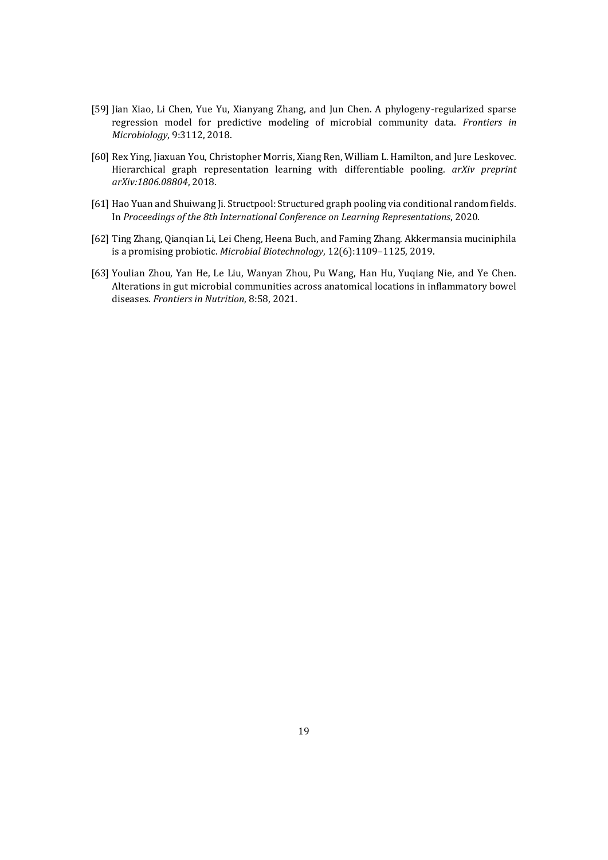- [59] Jian Xiao, Li Chen, Yue Yu, Xianyang Zhang, and Jun Chen. A phylogeny-regularized sparse regression model for predictive modeling of microbial community data. *Frontiers in Microbiology*, 9:3112, 2018.
- [60] Rex Ying, Jiaxuan You, Christopher Morris, Xiang Ren, William L. Hamilton, and Jure Leskovec. Hierarchical graph representation learning with differentiable pooling. *arXiv preprint arXiv:1806.08804*, 2018.
- [61] Hao Yuan and Shuiwang Ji. Structpool: Structured graph pooling via conditional random fields. In *Proceedings of the 8th International Conference on Learning Representations*, 2020.
- [62] Ting Zhang, Qianqian Li, Lei Cheng, Heena Buch, and Faming Zhang. Akkermansia muciniphila is a promising probiotic. *Microbial Biotechnology*, 12(6):1109–1125, 2019.
- [63] Youlian Zhou, Yan He, Le Liu, Wanyan Zhou, Pu Wang, Han Hu, Yuqiang Nie, and Ye Chen. Alterations in gut microbial communities across anatomical locations in inflammatory bowel diseases. *Frontiers in Nutrition*, 8:58, 2021.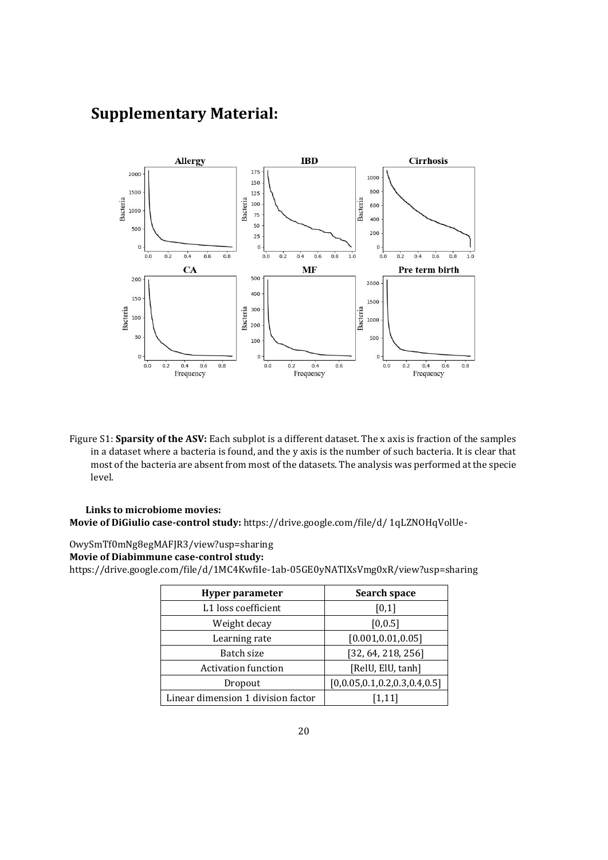# **Supplementary Material:**



Figure S1: **Sparsity of the ASV:** Each subplot is a different dataset. The x axis is fraction of the samples in a dataset where a bacteria is found, and the y axis is the number of such bacteria. It is clear that most of the bacteria are absent from most of the datasets. The analysis was performed at the specie level.

#### **Links to microbiome movies: Movie of DiGiulio case-control study:** https://drive.google.com/file/d/ 1qLZNOHqVolUe-

OwySmTf0mNg8egMAFJR3/view?usp=sharing

### **Movie of Diabimmune case-control study:**

https://drive.google.com/file/d/1MC4KwfiIe-1ab-05GE0yNATIXsVmg0xR/view?usp=sharing

| <b>Hyper parameter</b>             | Search space                 |
|------------------------------------|------------------------------|
| L1 loss coefficient                | [0,1]                        |
| Weight decay                       | [0, 0.5]                     |
| Learning rate                      | [0.001, 0.01, 0.05]          |
| Batch size                         | [32, 64, 218, 256]           |
| <b>Activation function</b>         | [RelU, ElU, tanh]            |
| Dropout                            | [0,0.05,0.1,0.2,0.3,0.4,0.5] |
| Linear dimension 1 division factor | [1, 11]                      |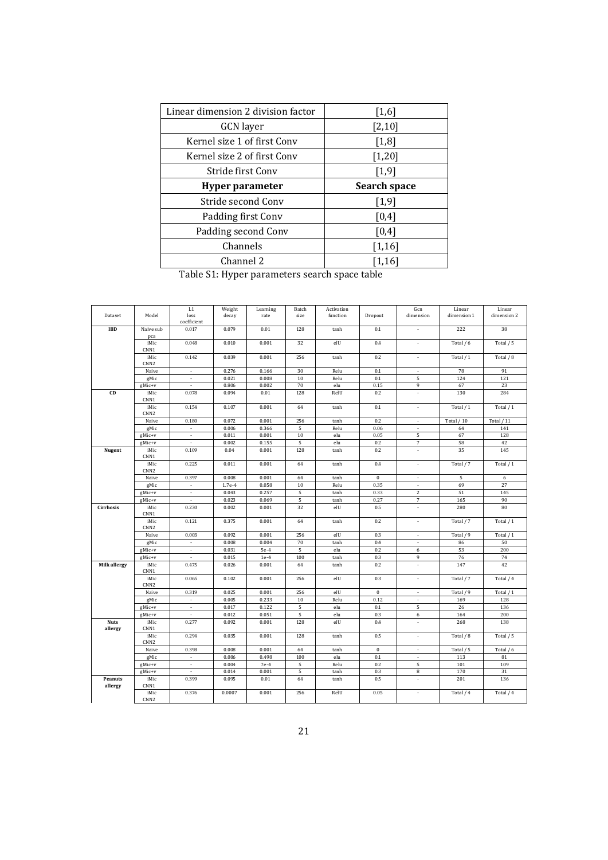| Linear dimension 2 division factor | $[1,6]$      |
|------------------------------------|--------------|
| <b>GCN</b> layer                   | $[2,10]$     |
| Kernel size 1 of first Conv        | [1,8]        |
| Kernel size 2 of first Conv        | $[1,20]$     |
| Stride first Conv                  | $[1,9]$      |
|                                    |              |
| <b>Hyper parameter</b>             | Search space |
| Stride second Conv                 | $[1,9]$      |
| Padding first Conv                 | [0,4]        |
| Padding second Conv                | [0,4]        |
| Channels                           | $[1,16]$     |

Table S1: Hyper parameters search space table

|                     |                          | $_{\rm L1}$   | Weight   | Learning | Batch  | Activation |              | Gcn                      | Linear      | Linear      |
|---------------------|--------------------------|---------------|----------|----------|--------|------------|--------------|--------------------------|-------------|-------------|
| Dataset             | Model                    | loss          | decay    | rate     | size   | function   | Dropout      | dimension                | dimension 1 | dimension 2 |
|                     |                          | coefficient   |          |          |        |            |              |                          |             |             |
| <b>IBD</b>          | Naive sub                | 0.017         | 0.079    | 0.01     | 128    | tanh       | 0.1          | $\overline{\phantom{a}}$ | 222         | 38          |
|                     | pca                      |               |          |          |        |            |              |                          |             |             |
|                     | iMic<br>CNN1             | 0.048         | 0.010    | 0.001    | 32     | elU        | 0.4          | $\sim$                   | Total / 6   | Total / 5   |
|                     | iMic                     | 0.142         | 0.039    | 0.001    | 256    | tanh       | 0.2          | $\bar{\phantom{a}}$      | Total / 1   | Total / 8   |
|                     | CNN <sub>2</sub>         |               |          |          |        |            |              |                          |             |             |
|                     | Naive                    | $\mathcal{L}$ | 0.276    | 0.166    | 30     | Relu       | 0.1          | $\sim$                   | 78          | 91          |
|                     | gMic                     | $\bullet$     | 0.021    | 0.008    | 10     | Relu       | 0.1          | 5                        | 124         | 121         |
|                     | gMic+v                   | $\omega$      | 0.806    | 0.002    | 70     | elu        | 0.15         | 9                        | 67          | 23          |
| CD                  | iMic                     | 0.078         | 0.094    | 0.01     | 128    | RelU       | 0.2          | ÷.                       | 130         | 284         |
|                     | CNN1                     |               |          |          |        |            |              |                          |             |             |
|                     | iMic                     | 0.154         | 0.107    | 0.001    | 64     | tanh       | 0.1          | ä,                       | Total / 1   | Total / 1   |
|                     | CNN <sub>2</sub>         |               |          |          |        |            |              |                          |             |             |
|                     | Naive                    | 0.180         | 0.072    | 0.001    | 256    | tanh       | 0.2          | $\sim$                   | Total / 10  | Total $/11$ |
|                     | gMic                     | $\Box$        | 0.006    | 0.366    | 5      | Relu       | 0.06         | $\blacksquare$           | 64          | 141         |
|                     | gMic+v                   | $\mathcal{L}$ | 0.011    | 0.001    | 10     | elu        | 0.05         | 5                        | 67          | 128         |
|                     | gMic+v                   | ÷.            | 0.002    | 0.155    | 5      | elu        | 0.2          | $\overline{7}$           | 58          | 42          |
| Nugent              | iMic                     | 0.109         | 0.04     | 0.001    | 128    | tanh       | 0.2          | ÷.                       | 35          | 145         |
|                     | CNN1                     |               |          |          |        |            |              |                          |             |             |
|                     | iMic                     | 0.225         | 0.011    | 0.001    | 64     | tanh       | 0.4          | $\blacksquare$           | Total / 7   | Total / 1   |
|                     | CNN <sub>2</sub>         |               |          |          |        |            |              |                          |             |             |
|                     | Naive                    | 0.397         | 0.008    | 0.001    | 64     | tanh       | $\bf 0$      | $\sim$                   | 5           | 6           |
|                     | gMic                     | $\bullet$     | $1.7e-4$ | 0.058    | 10     | Relu       | 0.35         | $\blacksquare$           | 69          | 27          |
|                     | gMic+v                   | $\omega$      | 0.043    | 0.257    | 5      | tanh       | 0.33         | 2                        | 51          | 145         |
|                     | gMic+v                   | $\omega$      | 0.023    | 0.069    | 5      | tanh       | 0.27         | $\sqrt{ }$               | 165         | 90          |
| <b>Cirrhosis</b>    | iMic                     | 0.230         | 0.002    | 0.001    | 32     | elU        | 0.5          | $\mathcal{L}$            | 280         | 80          |
|                     | CNN1                     |               |          |          |        |            |              |                          |             |             |
|                     | iMic                     | 0.121         | 0.375    | 0.001    | 64     | tanh       | 0.2          | $\blacksquare$           | Total / 7   | Total / 1   |
|                     | CNN <sub>2</sub>         |               |          |          |        |            |              |                          |             |             |
|                     | Naive                    | 0.003         | 0.092    | 0.001    | 256    | elU        | 0.3          | $\sim$                   | Total / 9   | Total / 1   |
|                     | gMic                     | $\omega$      | 0.008    | 0.004    | 70     | tanh       | 0.4          |                          | 86          | 50          |
|                     | gMic+v                   | $\mathbf{r}$  | 0.031    | $5e-4$   | 5      | elu        | 0.2          | 6                        | 53          | 200         |
|                     | gMic+v                   | $\sim$        | 0.015    | $1e-4$   | 100    | tanh       | 0.3          | 9                        | 76          | 74          |
| <b>Milk allergy</b> | iMic                     | 0.475         | 0.026    | 0.001    | 64     | tanh       | 0.2          | ÷.                       | 147         | 42          |
|                     | CNN1                     |               |          |          |        |            |              |                          |             |             |
|                     | iMic<br>CNN <sub>2</sub> | 0.065         | 0.102    | 0.001    | 256    | elU        | 0.3          | ÷.                       | Total / 7   | Total / 4   |
|                     | Naive                    | 0.319         | 0.025    | 0.001    | 256    | elU        | $\mathbf{0}$ | ×.                       | Total / 9   | Total / 1   |
|                     | gMic                     | $\sim$        | 0.005    | 0.233    | $10\,$ | Relu       | 0.12         | $\blacksquare$           | 169         | 128         |
|                     | gMic+v                   | $\bullet$     | 0.017    | 0.122    | 5      | elu        | 0.1          | 5                        | 26          | 136         |
|                     | gMic+v                   | $\Box$        | 0.012    | 0.051    | 5      | elu        | 0.3          | 6                        | 164         | 200         |
| <b>Nuts</b>         | iMic                     | 0.277         | 0.092    | 0.001    | 128    | elU        | 0.4          | $\sim$                   | 268         | 138         |
| allergy             | CNN1                     |               |          |          |        |            |              |                          |             |             |
|                     | iMic                     | 0.294         | 0.035    | 0.001    | 128    | tanh       | 0.5          | $\bar{\phantom{a}}$      | Total / 8   | Total / 5   |
|                     | CNN <sub>2</sub>         |               |          |          |        |            |              |                          |             |             |
|                     | Naive                    | 0.398         | 0.008    | 0.001    | 64     | tanh       | $\mathbf{0}$ | ÷,                       | Total / 5   | Total / 6   |
|                     | gMic                     | $\omega$      | 0.086    | 0.498    | 100    | elu        | 0.1          | $\sim$                   | 113         | 81          |
|                     | gMic+v                   | $\omega$      | 0.004    | $7e-4$   | 5      | Relu       | 0.2          | 5                        | 101         | 109         |
|                     | gMic+v                   | $\sim$        | 0.014    | 0.001    | 5      | tanh       | 0.3          | 8                        | 170         | 31          |
| Peanuts             | iMic                     | 0.399         | 0.095    | 0.01     | 64     | tanh       | 0.5          | ÷.                       | 201         | 136         |
| allergy             | CNN1                     |               |          |          |        |            |              |                          |             |             |
|                     | iMic                     | 0.376         | 0.0007   | 0.001    | 256    | RelU       | 0.05         | ÷,                       | Total / 4   | Total / 4   |
|                     | CNN <sub>2</sub>         |               |          |          |        |            |              |                          |             |             |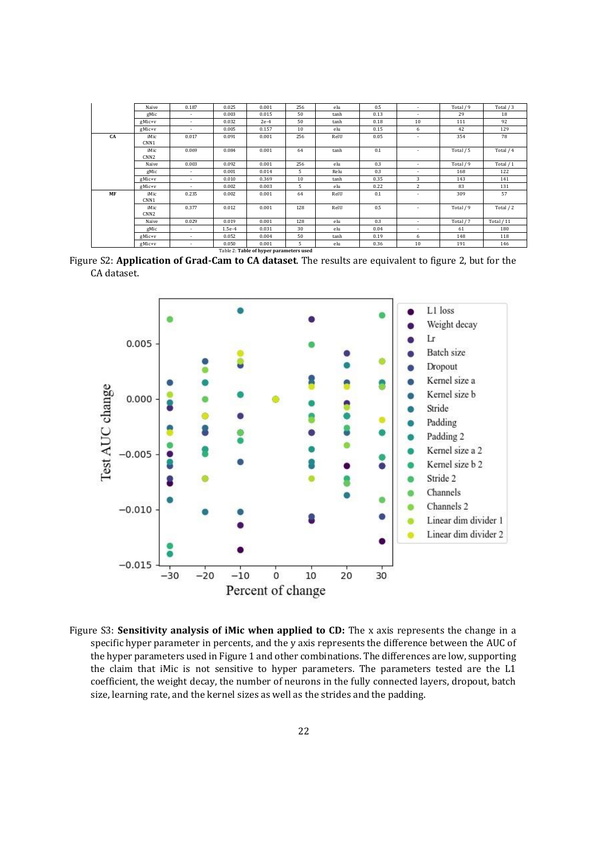|    | Naive                    | 0.187 | 0.025    | 0.001                                   | 256 | elu  | 0.5  | $\sim$                   | Total / 9 | Total / 3   |
|----|--------------------------|-------|----------|-----------------------------------------|-----|------|------|--------------------------|-----------|-------------|
|    | gMic                     | ٠     | 0.003    | 0.015                                   | 50  | tanh | 0.13 | ٠                        | 29        | 18          |
|    | $gMic+v$                 | ÷.    | 0.032    | $2e-4$                                  | 50  | tanh | 0.18 | 10                       | 111       | 92          |
|    | $gMic+v$                 | ٠     | 0.005    | 0.157                                   | 10  | elu  | 0.15 | 6                        | 42        | 129         |
| CA | iMic<br>CNN <sub>1</sub> | 0.017 | 0.091    | 0.001                                   | 256 | RelU | 0.05 |                          | 354       | 78          |
|    | iMic<br>CNN <sub>2</sub> | 0.069 | 0.084    | 0.001                                   | 64  | tanh | 0.1  | $\overline{\phantom{a}}$ | Total / 5 | Total / 4   |
|    | Naive                    | 0.003 | 0.092    | 0.001                                   | 256 | elu  | 0.3  | $\sim$                   | Total / 9 | Total / 1   |
|    | gMic                     | ٠     | 0.001    | 0.014                                   | 5   | Relu | 0.3  | $\overline{\phantom{a}}$ | 168       | 122         |
|    | gMic+v                   | ٠     | 0.010    | 0.369                                   | 10  | tanh | 0.35 | 3                        | 143       | 141         |
|    | $gMic+v$                 |       | 0.002    | 0.003                                   | 5   | elu  | 0.22 | 2                        | 83        | 131         |
| MF | iMic<br>CNN1             | 0.235 | 0.002    | 0.001                                   | 64  | RelU | 0.1  | ٠                        | 309       | 57          |
|    | iMic<br>CNN <sub>2</sub> | 0.377 | 0.012    | 0.001                                   | 128 | RelU | 0.5  |                          | Total / 9 | Total / 2   |
|    | Naive                    | 0.029 | 0.019    | 0.001                                   | 128 | elu  | 0.3  | $\sim$                   | Total / 7 | Total $/11$ |
|    | gMic                     | ٠     | $1.5e-4$ | 0.031                                   | 30  | elu  | 0.04 | ٠                        | 61        | 180         |
|    | $gMic+v$                 | ٠     | 0.052    | 0.004                                   | 50  | tanh | 0.19 | 6                        | 148       | 118         |
|    | gMic+v                   | ۰     | 0.050    | 0.001                                   | 5   | elu  | 0.36 | 10                       | 191       | 146         |
|    |                          |       |          | Table 2: Table of hyper parameters used |     |      |      |                          |           |             |

Figure S2: **Application of Grad-Cam to CA dataset**. The results are equivalent to figure 2, but for the CA dataset.



Figure S3: **Sensitivity analysis of iMic when applied to CD:** The x axis represents the change in a specific hyper parameter in percents, and the y axis represents the difference between the AUC of the hyper parameters used in Figure 1 and other combinations. The differences are low, supporting the claim that iMic is not sensitive to hyper parameters. The parameters tested are the L1 coefficient, the weight decay, the number of neurons in the fully connected layers, dropout, batch size, learning rate, and the kernel sizes as well as the strides and the padding.